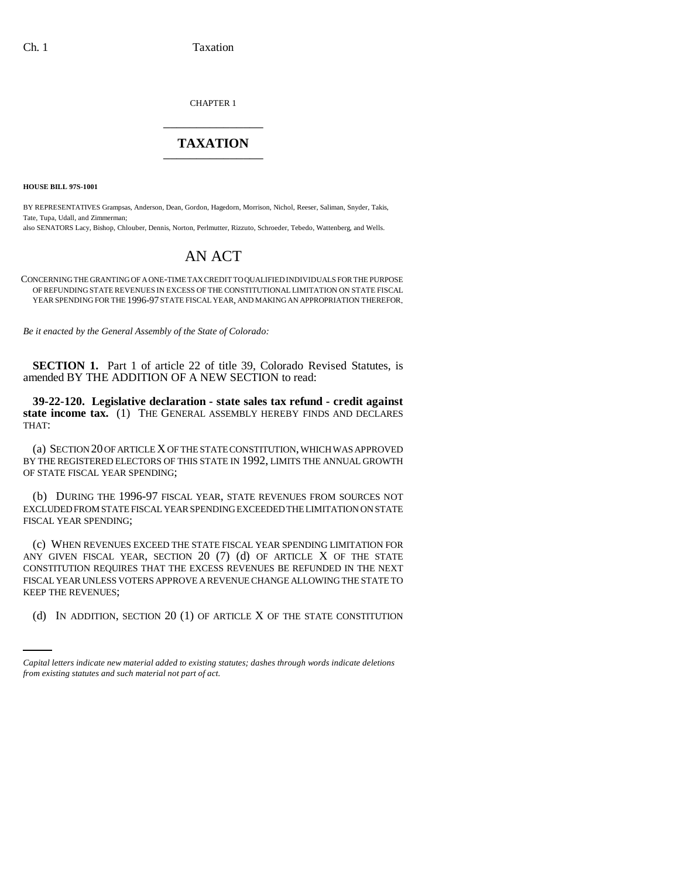CHAPTER 1 \_\_\_\_\_\_\_\_\_\_\_\_\_\_\_

## **TAXATION** \_\_\_\_\_\_\_\_\_\_\_\_\_\_\_

**HOUSE BILL 97S-1001**

BY REPRESENTATIVES Grampsas, Anderson, Dean, Gordon, Hagedorn, Morrison, Nichol, Reeser, Saliman, Snyder, Takis, Tate, Tupa, Udall, and Zimmerman;

also SENATORS Lacy, Bishop, Chlouber, Dennis, Norton, Perlmutter, Rizzuto, Schroeder, Tebedo, Wattenberg, and Wells.

# AN ACT

CONCERNING THE GRANTING OF A ONE-TIME TAX CREDIT TO QUALIFIED INDIVIDUALS FOR THE PURPOSE OF REFUNDING STATE REVENUES IN EXCESS OF THE CONSTITUTIONAL LIMITATION ON STATE FISCAL YEAR SPENDING FOR THE 1996-97 STATE FISCAL YEAR, AND MAKING AN APPROPRIATION THEREFOR.

*Be it enacted by the General Assembly of the State of Colorado:*

**SECTION 1.** Part 1 of article 22 of title 39, Colorado Revised Statutes, is amended BY THE ADDITION OF A NEW SECTION to read:

**39-22-120. Legislative declaration - state sales tax refund - credit against state income tax.** (1) THE GENERAL ASSEMBLY HEREBY FINDS AND DECLARES THAT:

(a) SECTION 20 OF ARTICLE X OF THE STATE CONSTITUTION, WHICH WAS APPROVED BY THE REGISTERED ELECTORS OF THIS STATE IN 1992, LIMITS THE ANNUAL GROWTH OF STATE FISCAL YEAR SPENDING;

(b) DURING THE 1996-97 FISCAL YEAR, STATE REVENUES FROM SOURCES NOT EXCLUDED FROM STATE FISCAL YEAR SPENDING EXCEEDED THE LIMITATION ON STATE FISCAL YEAR SPENDING;

KEEP THE REVENUES; (c) WHEN REVENUES EXCEED THE STATE FISCAL YEAR SPENDING LIMITATION FOR ANY GIVEN FISCAL YEAR, SECTION  $20$  (7) (d) OF ARTICLE X OF THE STATE CONSTITUTION REQUIRES THAT THE EXCESS REVENUES BE REFUNDED IN THE NEXT FISCAL YEAR UNLESS VOTERS APPROVE A REVENUE CHANGE ALLOWING THE STATE TO

(d) IN ADDITION, SECTION 20 (1) OF ARTICLE X OF THE STATE CONSTITUTION

*Capital letters indicate new material added to existing statutes; dashes through words indicate deletions from existing statutes and such material not part of act.*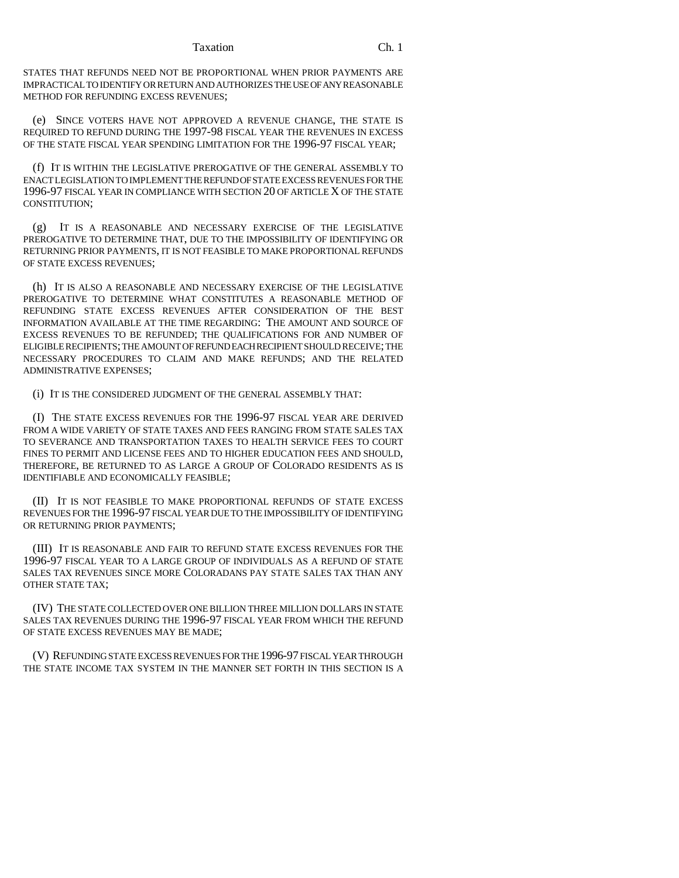#### Taxation Ch. 1

STATES THAT REFUNDS NEED NOT BE PROPORTIONAL WHEN PRIOR PAYMENTS ARE IMPRACTICAL TO IDENTIFY OR RETURN AND AUTHORIZES THE USE OF ANY REASONABLE METHOD FOR REFUNDING EXCESS REVENUES;

(e) SINCE VOTERS HAVE NOT APPROVED A REVENUE CHANGE, THE STATE IS REQUIRED TO REFUND DURING THE 1997-98 FISCAL YEAR THE REVENUES IN EXCESS OF THE STATE FISCAL YEAR SPENDING LIMITATION FOR THE 1996-97 FISCAL YEAR;

(f) IT IS WITHIN THE LEGISLATIVE PREROGATIVE OF THE GENERAL ASSEMBLY TO ENACT LEGISLATION TO IMPLEMENT THE REFUND OF STATE EXCESS REVENUES FOR THE 1996-97 FISCAL YEAR IN COMPLIANCE WITH SECTION 20 OF ARTICLE X OF THE STATE CONSTITUTION;

(g) IT IS A REASONABLE AND NECESSARY EXERCISE OF THE LEGISLATIVE PREROGATIVE TO DETERMINE THAT, DUE TO THE IMPOSSIBILITY OF IDENTIFYING OR RETURNING PRIOR PAYMENTS, IT IS NOT FEASIBLE TO MAKE PROPORTIONAL REFUNDS OF STATE EXCESS REVENUES;

(h) IT IS ALSO A REASONABLE AND NECESSARY EXERCISE OF THE LEGISLATIVE PREROGATIVE TO DETERMINE WHAT CONSTITUTES A REASONABLE METHOD OF REFUNDING STATE EXCESS REVENUES AFTER CONSIDERATION OF THE BEST INFORMATION AVAILABLE AT THE TIME REGARDING: THE AMOUNT AND SOURCE OF EXCESS REVENUES TO BE REFUNDED; THE QUALIFICATIONS FOR AND NUMBER OF ELIGIBLE RECIPIENTS; THE AMOUNT OF REFUND EACH RECIPIENT SHOULD RECEIVE; THE NECESSARY PROCEDURES TO CLAIM AND MAKE REFUNDS; AND THE RELATED ADMINISTRATIVE EXPENSES;

(i) IT IS THE CONSIDERED JUDGMENT OF THE GENERAL ASSEMBLY THAT:

(I) THE STATE EXCESS REVENUES FOR THE 1996-97 FISCAL YEAR ARE DERIVED FROM A WIDE VARIETY OF STATE TAXES AND FEES RANGING FROM STATE SALES TAX TO SEVERANCE AND TRANSPORTATION TAXES TO HEALTH SERVICE FEES TO COURT FINES TO PERMIT AND LICENSE FEES AND TO HIGHER EDUCATION FEES AND SHOULD, THEREFORE, BE RETURNED TO AS LARGE A GROUP OF COLORADO RESIDENTS AS IS IDENTIFIABLE AND ECONOMICALLY FEASIBLE;

(II) IT IS NOT FEASIBLE TO MAKE PROPORTIONAL REFUNDS OF STATE EXCESS REVENUES FOR THE 1996-97 FISCAL YEAR DUE TO THE IMPOSSIBILITY OF IDENTIFYING OR RETURNING PRIOR PAYMENTS;

(III) IT IS REASONABLE AND FAIR TO REFUND STATE EXCESS REVENUES FOR THE 1996-97 FISCAL YEAR TO A LARGE GROUP OF INDIVIDUALS AS A REFUND OF STATE SALES TAX REVENUES SINCE MORE COLORADANS PAY STATE SALES TAX THAN ANY OTHER STATE TAX;

(IV) THE STATE COLLECTED OVER ONE BILLION THREE MILLION DOLLARS IN STATE SALES TAX REVENUES DURING THE 1996-97 FISCAL YEAR FROM WHICH THE REFUND OF STATE EXCESS REVENUES MAY BE MADE;

(V) REFUNDING STATE EXCESS REVENUES FOR THE 1996-97 FISCAL YEAR THROUGH THE STATE INCOME TAX SYSTEM IN THE MANNER SET FORTH IN THIS SECTION IS A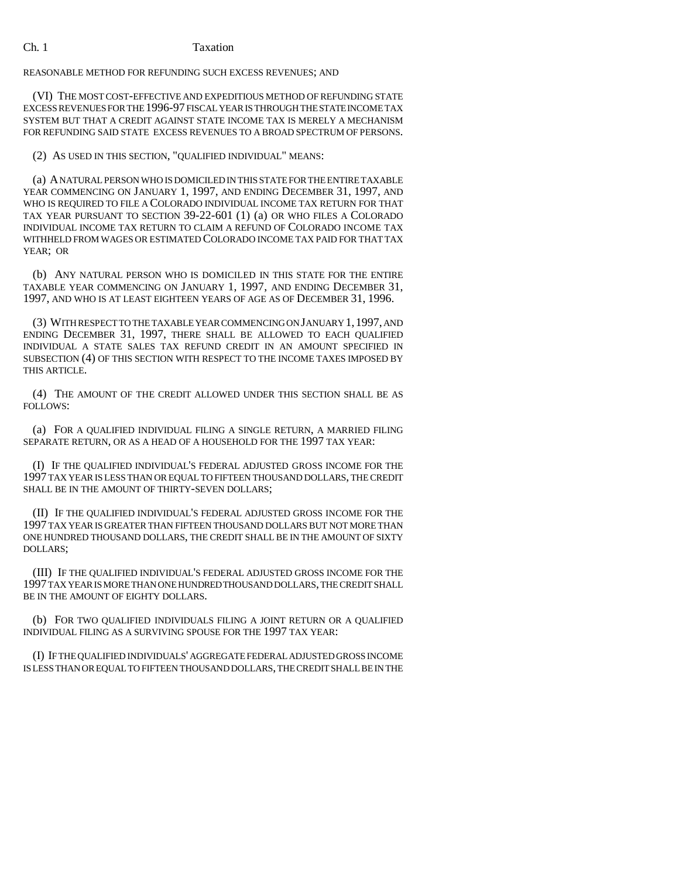### Ch. 1 Taxation

REASONABLE METHOD FOR REFUNDING SUCH EXCESS REVENUES; AND

(VI) THE MOST COST-EFFECTIVE AND EXPEDITIOUS METHOD OF REFUNDING STATE EXCESS REVENUES FOR THE 1996-97 FISCAL YEAR IS THROUGH THE STATE INCOME TAX SYSTEM BUT THAT A CREDIT AGAINST STATE INCOME TAX IS MERELY A MECHANISM FOR REFUNDING SAID STATE EXCESS REVENUES TO A BROAD SPECTRUM OF PERSONS.

(2) AS USED IN THIS SECTION, "QUALIFIED INDIVIDUAL" MEANS:

(a) A NATURAL PERSON WHO IS DOMICILED IN THIS STATE FOR THE ENTIRE TAXABLE YEAR COMMENCING ON JANUARY 1, 1997, AND ENDING DECEMBER 31, 1997, AND WHO IS REQUIRED TO FILE A COLORADO INDIVIDUAL INCOME TAX RETURN FOR THAT TAX YEAR PURSUANT TO SECTION 39-22-601 (1) (a) OR WHO FILES A COLORADO INDIVIDUAL INCOME TAX RETURN TO CLAIM A REFUND OF COLORADO INCOME TAX WITHHELD FROM WAGES OR ESTIMATED COLORADO INCOME TAX PAID FOR THAT TAX YEAR; OR

(b) ANY NATURAL PERSON WHO IS DOMICILED IN THIS STATE FOR THE ENTIRE TAXABLE YEAR COMMENCING ON JANUARY 1, 1997, AND ENDING DECEMBER 31, 1997, AND WHO IS AT LEAST EIGHTEEN YEARS OF AGE AS OF DECEMBER 31, 1996.

(3) WITH RESPECT TO THE TAXABLE YEAR COMMENCING ON JANUARY 1,1997, AND ENDING DECEMBER 31, 1997, THERE SHALL BE ALLOWED TO EACH QUALIFIED INDIVIDUAL A STATE SALES TAX REFUND CREDIT IN AN AMOUNT SPECIFIED IN SUBSECTION (4) OF THIS SECTION WITH RESPECT TO THE INCOME TAXES IMPOSED BY THIS ARTICLE.

(4) THE AMOUNT OF THE CREDIT ALLOWED UNDER THIS SECTION SHALL BE AS FOLLOWS:

(a) FOR A QUALIFIED INDIVIDUAL FILING A SINGLE RETURN, A MARRIED FILING SEPARATE RETURN, OR AS A HEAD OF A HOUSEHOLD FOR THE 1997 TAX YEAR:

(I) IF THE QUALIFIED INDIVIDUAL'S FEDERAL ADJUSTED GROSS INCOME FOR THE 1997 TAX YEAR IS LESS THAN OR EQUAL TO FIFTEEN THOUSAND DOLLARS, THE CREDIT SHALL BE IN THE AMOUNT OF THIRTY-SEVEN DOLLARS;

(II) IF THE QUALIFIED INDIVIDUAL'S FEDERAL ADJUSTED GROSS INCOME FOR THE 1997 TAX YEAR IS GREATER THAN FIFTEEN THOUSAND DOLLARS BUT NOT MORE THAN ONE HUNDRED THOUSAND DOLLARS, THE CREDIT SHALL BE IN THE AMOUNT OF SIXTY DOLLARS;

(III) IF THE QUALIFIED INDIVIDUAL'S FEDERAL ADJUSTED GROSS INCOME FOR THE 1997 TAX YEAR IS MORE THAN ONE HUNDRED THOUSAND DOLLARS, THE CREDIT SHALL BE IN THE AMOUNT OF EIGHTY DOLLARS.

(b) FOR TWO QUALIFIED INDIVIDUALS FILING A JOINT RETURN OR A QUALIFIED INDIVIDUAL FILING AS A SURVIVING SPOUSE FOR THE 1997 TAX YEAR:

(I) IF THE QUALIFIED INDIVIDUALS' AGGREGATE FEDERAL ADJUSTED GROSS INCOME IS LESS THAN OR EQUAL TO FIFTEEN THOUSAND DOLLARS, THE CREDIT SHALL BE IN THE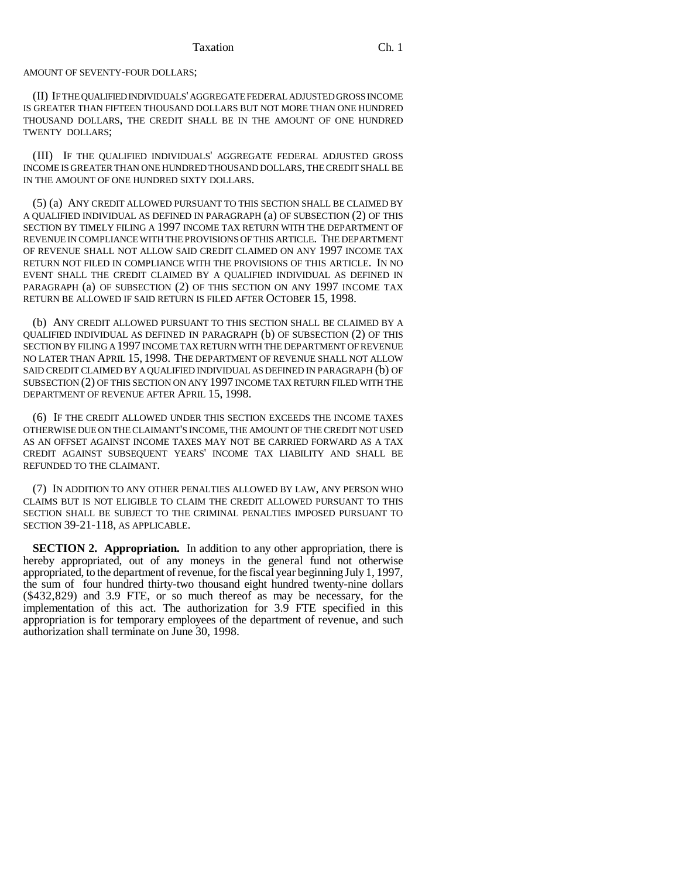#### AMOUNT OF SEVENTY-FOUR DOLLARS;

(II) IF THE QUALIFIED INDIVIDUALS' AGGREGATE FEDERAL ADJUSTED GROSS INCOME IS GREATER THAN FIFTEEN THOUSAND DOLLARS BUT NOT MORE THAN ONE HUNDRED THOUSAND DOLLARS, THE CREDIT SHALL BE IN THE AMOUNT OF ONE HUNDRED TWENTY DOLLARS;

(III) IF THE QUALIFIED INDIVIDUALS' AGGREGATE FEDERAL ADJUSTED GROSS INCOME IS GREATER THAN ONE HUNDRED THOUSAND DOLLARS, THE CREDIT SHALL BE IN THE AMOUNT OF ONE HUNDRED SIXTY DOLLARS.

(5) (a) ANY CREDIT ALLOWED PURSUANT TO THIS SECTION SHALL BE CLAIMED BY A QUALIFIED INDIVIDUAL AS DEFINED IN PARAGRAPH (a) OF SUBSECTION (2) OF THIS SECTION BY TIMELY FILING A 1997 INCOME TAX RETURN WITH THE DEPARTMENT OF REVENUE IN COMPLIANCE WITH THE PROVISIONS OF THIS ARTICLE. THE DEPARTMENT OF REVENUE SHALL NOT ALLOW SAID CREDIT CLAIMED ON ANY 1997 INCOME TAX RETURN NOT FILED IN COMPLIANCE WITH THE PROVISIONS OF THIS ARTICLE. IN NO EVENT SHALL THE CREDIT CLAIMED BY A QUALIFIED INDIVIDUAL AS DEFINED IN PARAGRAPH (a) OF SUBSECTION (2) OF THIS SECTION ON ANY 1997 INCOME TAX RETURN BE ALLOWED IF SAID RETURN IS FILED AFTER OCTOBER 15, 1998.

(b) ANY CREDIT ALLOWED PURSUANT TO THIS SECTION SHALL BE CLAIMED BY A QUALIFIED INDIVIDUAL AS DEFINED IN PARAGRAPH (b) OF SUBSECTION (2) OF THIS SECTION BY FILING A 1997 INCOME TAX RETURN WITH THE DEPARTMENT OF REVENUE NO LATER THAN APRIL 15, 1998. THE DEPARTMENT OF REVENUE SHALL NOT ALLOW SAID CREDIT CLAIMED BY A QUALIFIED INDIVIDUAL AS DEFINED IN PARAGRAPH (b) OF SUBSECTION (2) OF THIS SECTION ON ANY 1997 INCOME TAX RETURN FILED WITH THE DEPARTMENT OF REVENUE AFTER APRIL 15, 1998.

(6) IF THE CREDIT ALLOWED UNDER THIS SECTION EXCEEDS THE INCOME TAXES OTHERWISE DUE ON THE CLAIMANT'S INCOME, THE AMOUNT OF THE CREDIT NOT USED AS AN OFFSET AGAINST INCOME TAXES MAY NOT BE CARRIED FORWARD AS A TAX CREDIT AGAINST SUBSEQUENT YEARS' INCOME TAX LIABILITY AND SHALL BE REFUNDED TO THE CLAIMANT.

(7) IN ADDITION TO ANY OTHER PENALTIES ALLOWED BY LAW, ANY PERSON WHO CLAIMS BUT IS NOT ELIGIBLE TO CLAIM THE CREDIT ALLOWED PURSUANT TO THIS SECTION SHALL BE SUBJECT TO THE CRIMINAL PENALTIES IMPOSED PURSUANT TO SECTION 39-21-118, AS APPLICABLE.

**SECTION 2. Appropriation.** In addition to any other appropriation, there is hereby appropriated, out of any moneys in the general fund not otherwise appropriated, to the department of revenue, for the fiscal year beginning July 1, 1997, the sum of four hundred thirty-two thousand eight hundred twenty-nine dollars (\$432,829) and 3.9 FTE, or so much thereof as may be necessary, for the implementation of this act. The authorization for 3.9 FTE specified in this appropriation is for temporary employees of the department of revenue, and such authorization shall terminate on June 30, 1998.